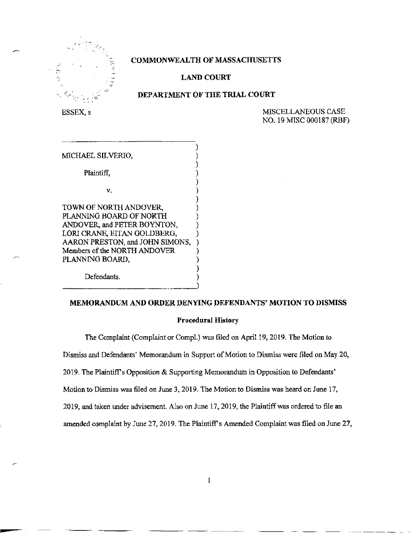

# **COMMONWEALTH OF MASSACHUSETTS**

### **^ LAND COURT**

### **DEPARTMENT OF THE TRIAL COURT**

ESSEX, s MISCELLANEOUS CASE NO. 19 MISC 000187 (RBF)

| MICHAEL SILVERIO,               |  |
|---------------------------------|--|
|                                 |  |
| Plaintiff.                      |  |
|                                 |  |
| v.                              |  |
|                                 |  |
| TOWN OF NORTH ANDOVER,          |  |
| PLANNING BOARD OF NORTH         |  |
| ANDOVER, and PETER BOYNTON,     |  |
| LORI CRANE, EITAN GOLDBERG,     |  |
| AARON PRESTON, and JOHN SIMONS, |  |
| Members of the NORTH ANDOVER    |  |
| PLANNING BOARD,                 |  |
|                                 |  |
| Defendants.                     |  |

# **MEMORANDUM AND ORDER DENYING DEFENDANTS' MOTION TO DISMISS**

#### **Procedural History**

The Complaint (Complaint or CompL) was filed on April 19, 2019. The Motion to Dismiss and Defendants' Memorandum in Support of Motion to Dismiss were filed on May 20, 2019. The Plaintiff's Opposition & Supporting Memorandum in Opposition to Defendants' Motion to Dismiss was filed on June 3, 2019. The Motion to Dismiss was heard on June 17, 2019, and taken under advisement. Also on June 17, 2019, the Plaintiff was ordered to file an amended complaint by June 27, 2019. The Plaintiff's Amended Complaint was filed on June 27,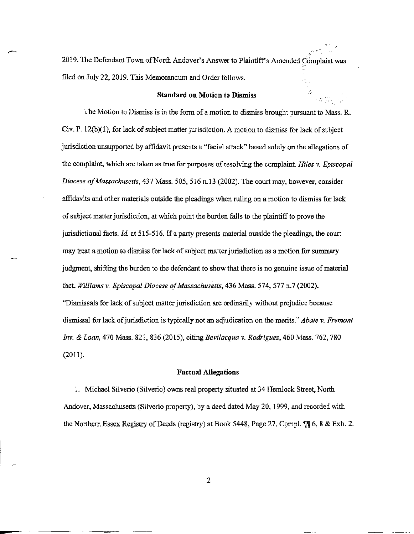2019. The Defendant Town of North Andover's Answer to Plaintiff's Amended Complaint was filed on July 22,2019. This Memorandum and Order follows.

#### **Standard on Motion to Dismiss**

The Motion to Dismiss is in the form of a motion to dismiss brought pursuant to Mass. R. Civ. P. 12(b)(1), for lack of subject matter jurisdiction. A motion to dismiss for lack of subject jurisdiction unsupported by affidavit presents a "facial attack" based solely on the allegations of the complaint, which are taken as true for purposes of resolving the complaint. *Hiles v. Episcopal Diocese of Massachusetts,* 437 Mass. 505, 516 n. 13 (2002). The court may, however, consider affidavits and other materials outside the pleadings when ruling on a motion to dismiss for lack of subject matter jurisdiction, at which point the burden falls to the plaintiff to prove the jurisdictional facts. *Id.* at 515-516. If a party presents material outside the pleadings, the court may treat a motion to dismiss for lack of subject matter jurisdiction as a motion for summary judgment, shifting the burden to the defendant to show that there is no genuine issue of material fact. *Williams v. Episcopal Diocese of Massachusetts,* 436 Mass. 574, 577 n.7 (2002). "Dismissals for lack of subject matter jurisdiction are ordinarily without prejudice because dismissal for lack of jurisdiction is typically not an adjudication on the merits." *Abate v. Fremont Inv. & Loan,* 470 Mass. 821, 836 (2015), citing *Bevilacqua* v. *Rodriguez,* 460 Mass. 762,780 (2011).

#### **Factual Allegations**

1. Michael Silverio (Silverio) owns real property situated at 34 Hemlock Street, North Andover, Massachusetts (Silverio property), by a deed dated May 20,1999, and recorded with the Northern Essex Registry of Deeds (registry) at Book 5448, Page 27. Compl. *6,* 8 & Exh. 2.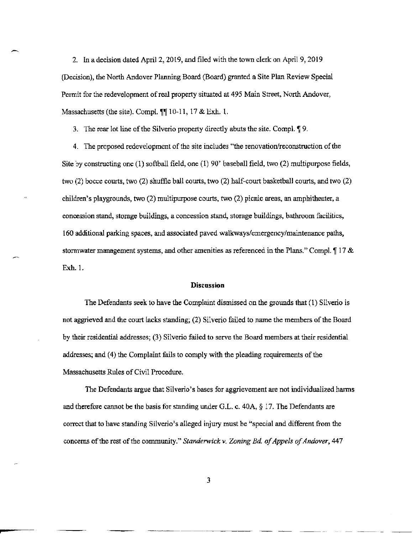2. In a decision dated April 2, 2019, and filed with the town clerk on April 9, 2019 (Decision), the North Andover Planning Board (Board) granted a Site Plan Review Special Permit for the redevelopment of real property situated at 495 Main Street, North Andover, Massachusetts (the site). Compl.  $\P$ [ 10-11, 17 & Exh. 1.

3. The rear lot line of the Silverio property directly abuts the site. Compl.  $\llbracket 9$ .

4. The proposed redevelopment of the site includes "the renovation/reconstruction of the Site by constructing one (1) softball field, one (1) 90' baseball field, two (2) multipurpose fields, two (2) bocce courts, two (2) shuffle ball courts, two (2) half-court basketball courts, and two (2) children's playgrounds, two (2) multipurpose courts, two (2) picnic areas, an amphitheater, a concession stand, storage buildings, a concession stand, storage buildings, bathroom facilities, 160 additional parking spaces, and associated paved walkways/emergency/maintenance paths, stormwater management systems, and other amenities as referenced in the Plans." Compl.  $\parallel$  17 & Exh. 1.

# **Discussion**

The Defendants seek to have the Complaint dismissed on the grounds that (1) Silverio is not aggrieved and the court lacks standing; (2) Silverio failed to name the members of the Board by their residential addresses; (3) Silverio failed to serve the Board members at their residential addresses; and (4) the Complaint fails to comply with the pleading requirements of the Massachusetts Rules of Civil Procedure.

The Defendants argue that Silverio's bases for aggrievement are not individualized harms and therefore cannot be the basis for standing under G.L. c.  $40A$ ,  $\S$  17. The Defendants are correct that to have standing Silverio's alleged injury must be "special and different from the concerns of the rest of the community." *Standerwick v. Zoning Bd. of Appels of Andover*, 447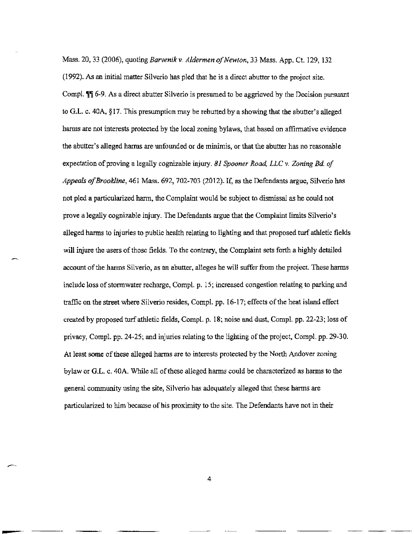Mass. 20, 33 (2006), quoting *Barvenikv. Aldermen of Newton,* 33 Mass. App. Ct. 129, 132 (1992). As an initial matter Silverio has pled that he is a direct abutter to the project site. Compl.  $\P$  6-9. As a direct abutter Silverio is presumed to be aggrieved by the Decision pursuant to G.L. c. 40A, §17. This presumption may be rebutted by a showing that the abutter's alleged harms are not interests protected by the local zoning bylaws, that based on affirmative evidence the abutter's alleged harms are unfounded or de minimis, or that the abutter has no reasonable expectation of proving a legally cognizable injury. *81 Spooner Road, LLC* v. *Zoning Bd. of Appeals ofBrookline,* 461 Mass. 692, 702-703 (2012). If, as the Defendants argue, Silverio has not pled a particularized harm, the Complaint would be subject to dismissal as he could not prove a legally cognizable injury. The Defendants argue that the Complaint limits Silverio's alleged harms to injuries to public health relating to lighting and that proposed turf athletic fields will injure the users of those fields. To the contrary, the Complaint sets forth a highly detailed account of the harms Silverio, as an abutter, alleges he will suffer from the project. These harms include loss of stormwater recharge, Compl. p. 15; increased congestion relating to parking and traffic on the street where Silverio resides, Compl. pp. 16-17; effects of the heat island effect created by proposed turf athletic fields, Compl. p. 18; noise and dust, Compl. pp. 22-23; loss of privacy, Compl. pp. 24-25; and injuries relating to the lighting of the project, Compl. pp. 29-30. At least some of these alleged harms are to interests protected by the North Andover zoning bylaw or G.L. c. 40A. While all of these alleged harms could be characterized as harms to the general community using the site, Silverio has adequately alleged that these harms are particularized to him because of his proximity to the site. The Defendants have not in their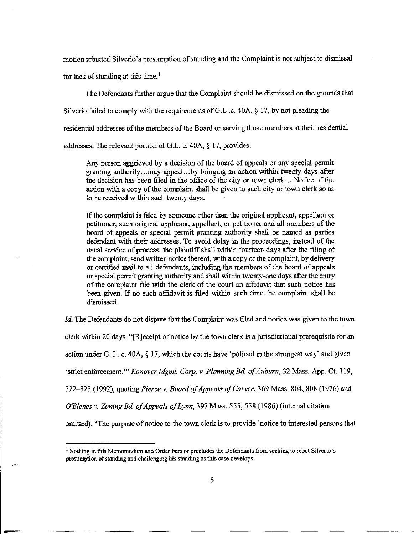motion rebutted Silverio's presumption of standing and the Complaint is not subject to dismissal

for lack of standing at this time.<sup>1</sup>

The Defendants further argue that the Complaint should be dismissed on the grounds that

Silverio failed to comply with the requirements of G.L .c. 40A,  $\S 17$ , by not pleading the

residential addresses of the members of the Board or serving those members at their residential

addresses. The relevant portion of G.L. c. 40A, § 17, provides:

Any person aggrieved by a decision of the board of appeals or any special permit granting authority...may appeal...by bringing an action within twenty days after the decision has been filed in the office of the city or town clerk....Notice of the action with a copy of the complaint shall be given to such city or town clerk so as to be received within such twenty days.

If the complaint is filed by someone other than the original applicant, appellant or petitioner, such original applicant, appellant, or petitioner and all members of the board of appeals or special permit granting authority shall be named as parties defendant with their addresses. To avoid delay in the proceedings, instead of the usual service of process, the plaintiff shall within fourteen days after the filing of the complaint, send written notice thereof, with a copy of the complaint, by delivery or certified mail to all defendants, including the members of the board of appeals or special permit granting authority and shall within twenty-one days after the entry of the complaint file with the clerk of the court an affidavit that such notice has been given. If no such affidavit is filed within such time the complaint shall be dismissed.

*Id.* The Defendants do not dispute that the Complaint was filed and notice was given to the town clerk within 20 days. "[RJeceipt of notice by the town clerk is a jurisdictional prerequisite for an action under G. L. c. 40 $\Lambda$ , § 17, which the courts have 'policed in the strongest way' and given 'strict enforcement."' *Konover Mgmt. Corp.* v. *Planning Bd. of Auburn,* 32 Mass. App. Ct. 319, 322-323 (1992), quoting *Pierce* **v.** *Board of Appeals of Carver,* 369 Mass. 804, 808 (1976) and *O'Blenes v. Zoning Bd. of Appeals of Lynn,* 397 Mass. 555, 558 (1986) (internal citation omitted). "The purpose of notice to the town clerk is to provide 'notice to interested persons that

**<sup>1</sup> Nothing in this Memorandum and Order bars or precludes the Defendants from seeking to rebut Silverio's presumption of standing and challenging his standing as this case develops.**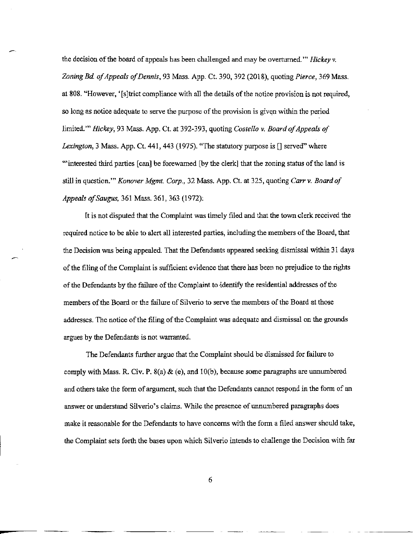the decision of the board of appeals has been challenged and may be overturned.'" *Hickey v. Zoning Bd of Appeals of Dennis,* 93 Mass. App. Ct. 390, 392 (2018), quoting *Pierce,* 369 Mass. at 808. "However, '[sjtrict compliance with all the details of the notice provision is not required, so long as notice adequate to serve the purpose of the provision is given within the period limited.'" *Hickey,* 93 Mass. App. Ct. at 392-393, quoting *Costello* v. *Board of Appeals of Lexington,* 3 Mass. App. Ct. 441, 443 (1975). "The statutory purpose is [] served" where "'interested third parties [can] be forewarned [by the clerk] that the zoning status of the land is still in question.'" *Konover Mgmt. Corp.,* 32 Mass. App. Ct. at 325, quoting *Carr v. Board of Appeals ofSaugus,* 361 Mass. 361, 363 (1972):

It is not disputed that the Complaint was timely filed and that the town clerk received the required notice to be able to alert all interested parties, including the members of the Board, that the Decision was being appealed. That the Defendants appeared seeking dismissal within 31 days of the filing of the Complaint is sufficient evidence that there has been no prejudice to the rights of the Defendants by the failure of the Complaint to identify the residential addresses of the members of the Board or the failure of Silverio to serve the members of the Board at those addresses. The notice of the filing of the Complaint was adequate and dismissal on the grounds argues by the Defendants is not warranted.

The Defendants further argue that the Complaint should be dismissed for failure to comply with Mass. R. Civ. **P.** 8(a) & (e), and 10(b), because some paragraphs are unnumbered and others take the form of argument, such that the Defendants cannot respond in the form of an answer or understand Silverio's claims. While the presence of unnumbered paragraphs does make it reasonable for the Defendants to have concerns with the form a filed answer should take, the Complaint sets forth the bases upon which Silverio intends to challenge the Decision with far